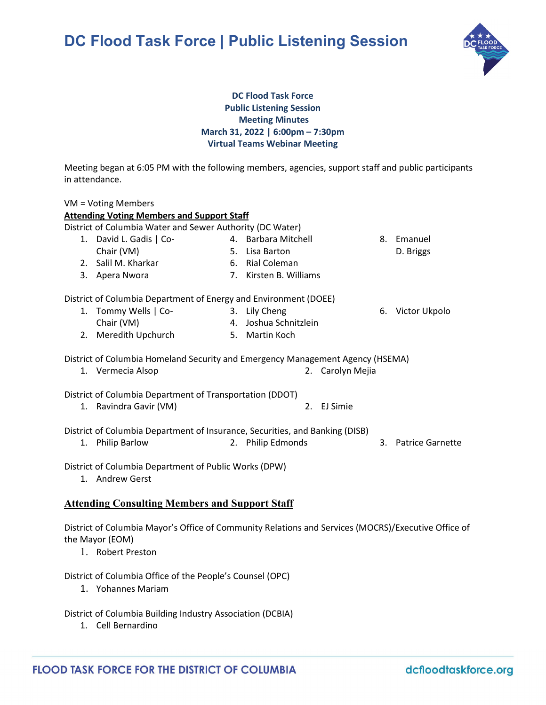# **DC Flood Task Force | Public Listening Session**



## **DC Flood Task Force Public Listening Session Meeting Minutes March 31, 2022 | 6:00pm – 7:30pm Virtual Teams Webinar Meeting**

Meeting began at 6:05 PM with the following members, agencies, support staff and public participants in attendance.

| VM = Voting Members                                                            |                      |    |                       |    |                         |
|--------------------------------------------------------------------------------|----------------------|----|-----------------------|----|-------------------------|
| <b>Attending Voting Members and Support Staff</b>                              |                      |    |                       |    |                         |
| District of Columbia Water and Sewer Authority (DC Water)                      |                      |    |                       |    |                         |
| 1.                                                                             | David L. Gadis   Co- |    | 4. Barbara Mitchell   | 8. | Emanuel                 |
|                                                                                | Chair (VM)           |    | 5. Lisa Barton        |    | D. Briggs               |
|                                                                                | 2. Salil M. Kharkar  |    | 6. Rial Coleman       |    |                         |
| 3.                                                                             | Apera Nwora          | 7. | Kirsten B. Williams   |    |                         |
| District of Columbia Department of Energy and Environment (DOEE)               |                      |    |                       |    |                         |
| 1.                                                                             | Tommy Wells   Co-    |    | 3. Lily Cheng         | 6. | Victor Ukpolo           |
|                                                                                | Chair (VM)           |    | 4. Joshua Schnitzlein |    |                         |
| 2.                                                                             | Meredith Upchurch    |    | 5. Martin Koch        |    |                         |
| District of Columbia Homeland Security and Emergency Management Agency (HSEMA) |                      |    |                       |    |                         |
|                                                                                | 1. Vermecia Alsop    |    | Carolyn Mejia<br>2.   |    |                         |
| District of Columbia Department of Transportation (DDOT)                       |                      |    |                       |    |                         |
| 1.                                                                             | Ravindra Gavir (VM)  |    | 2.<br>EJ Simie        |    |                         |
| District of Columbia Department of Insurance, Securities, and Banking (DISB)   |                      |    |                       |    |                         |
| 1.                                                                             | <b>Philip Barlow</b> |    | 2. Philip Edmonds     | 3. | <b>Patrice Garnette</b> |
| District of Columbia Department of Public Works (DPW)                          |                      |    |                       |    |                         |
|                                                                                |                      |    |                       |    |                         |

1. Andrew Gerst

# **Attending Consulting Members and Support Staff**

District of Columbia Mayor's Office of Community Relations and Services (MOCRS)/Executive Office of the Mayor (EOM)

1. Robert Preston

District of Columbia Office of the People's Counsel (OPC)

1. Yohannes Mariam

District of Columbia Building Industry Association (DCBIA)

1. Cell Bernardino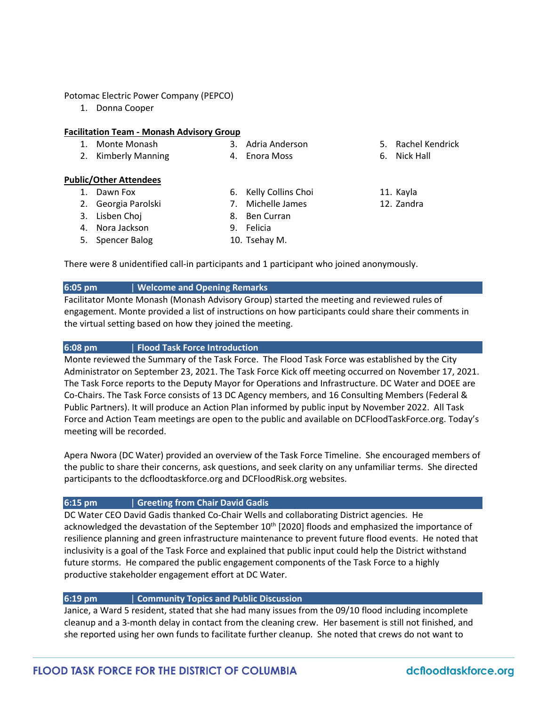### Potomac Electric Power Company (PEPCO)

1. Donna Cooper

#### **Facilitation Team - Monash Advisory Group**

- 1. Monte Monash
- 2. Kimberly Manning
- 3. Adria Anderson

6. Kelly Collins Choi 7. Michelle James

- 4. Enora Moss
- **Public/Other Attendees**
	- 1. Dawn Fox
	- 2. Georgia Parolski
	- 3. Lisben Choj
- 
- 8. Ben Curran
	-
- 11. Kayla
	- 12. Zandra

6. Nick Hall

5. Rachel Kendrick

4. Nora Jackson 5. Spencer Balog

- 9. Felicia 10. Tsehay M.
- There were 8 unidentified call-in participants and 1 participant who joined anonymously.

## **6:05 pm** | **Welcome and Opening Remarks**

Facilitator Monte Monash (Monash Advisory Group) started the meeting and reviewed rules of engagement. Monte provided a list of instructions on how participants could share their comments in the virtual setting based on how they joined the meeting.

## **6:08 pm** | **Flood Task Force Introduction**

Monte reviewed the Summary of the Task Force. The Flood Task Force was established by the City Administrator on September 23, 2021. The Task Force Kick off meeting occurred on November 17, 2021. The Task Force reports to the Deputy Mayor for Operations and Infrastructure. DC Water and DOEE are Co-Chairs. The Task Force consists of 13 DC Agency members, and 16 Consulting Members (Federal & Public Partners). It will produce an Action Plan informed by public input by November 2022. All Task Force and Action Team meetings are open to the public and available on DCFloodTaskForce.org. Today's meeting will be recorded.

Apera Nwora (DC Water) provided an overview of the Task Force Timeline. She encouraged members of the public to share their concerns, ask questions, and seek clarity on any unfamiliar terms. She directed participants to the dcfloodtaskforce.org and DCFloodRisk.org websites.

## **6:15 pm** | **Greeting from Chair David Gadis**

DC Water CEO David Gadis thanked Co-Chair Wells and collaborating District agencies. He acknowledged the devastation of the September 10<sup>th</sup> [2020] floods and emphasized the importance of resilience planning and green infrastructure maintenance to prevent future flood events. He noted that inclusivity is a goal of the Task Force and explained that public input could help the District withstand future storms. He compared the public engagement components of the Task Force to a highly productive stakeholder engagement effort at DC Water.

## **6:19 pm** | **Community Topics and Public Discussion**

Janice, a Ward 5 resident, stated that she had many issues from the 09/10 flood including incomplete cleanup and a 3-month delay in contact from the cleaning crew. Her basement is still not finished, and she reported using her own funds to facilitate further cleanup. She noted that crews do not want to

# dcfloodtaskforce.org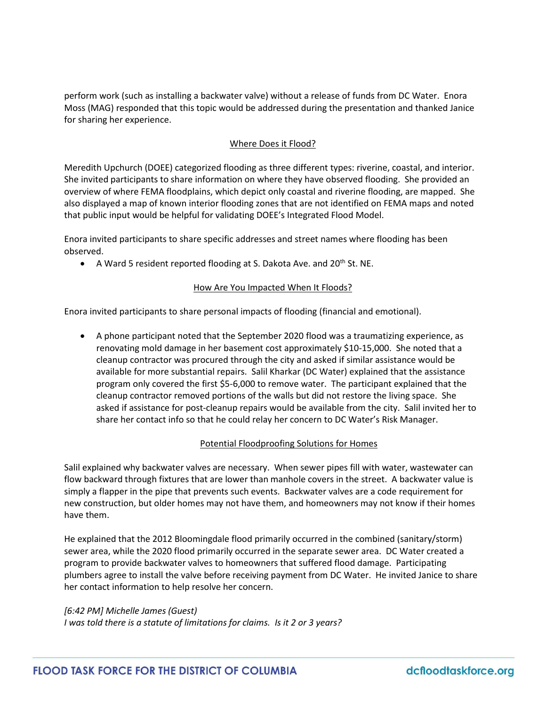perform work (such as installing a backwater valve) without a release of funds from DC Water. Enora Moss (MAG) responded that this topic would be addressed during the presentation and thanked Janice for sharing her experience.

## Where Does it Flood?

Meredith Upchurch (DOEE) categorized flooding as three different types: riverine, coastal, and interior. She invited participants to share information on where they have observed flooding. She provided an overview of where FEMA floodplains, which depict only coastal and riverine flooding, are mapped. She also displayed a map of known interior flooding zones that are not identified on FEMA maps and noted that public input would be helpful for validating DOEE's Integrated Flood Model.

Enora invited participants to share specific addresses and street names where flooding has been observed.

• A Ward 5 resident reported flooding at S. Dakota Ave. and 20<sup>th</sup> St. NE.

## How Are You Impacted When It Floods?

Enora invited participants to share personal impacts of flooding (financial and emotional).

• A phone participant noted that the September 2020 flood was a traumatizing experience, as renovating mold damage in her basement cost approximately \$10-15,000. She noted that a cleanup contractor was procured through the city and asked if similar assistance would be available for more substantial repairs. Salil Kharkar (DC Water) explained that the assistance program only covered the first \$5-6,000 to remove water. The participant explained that the cleanup contractor removed portions of the walls but did not restore the living space. She asked if assistance for post-cleanup repairs would be available from the city. Salil invited her to share her contact info so that he could relay her concern to DC Water's Risk Manager.

## Potential Floodproofing Solutions for Homes

Salil explained why backwater valves are necessary. When sewer pipes fill with water, wastewater can flow backward through fixtures that are lower than manhole covers in the street. A backwater value is simply a flapper in the pipe that prevents such events. Backwater valves are a code requirement for new construction, but older homes may not have them, and homeowners may not know if their homes have them.

He explained that the 2012 Bloomingdale flood primarily occurred in the combined (sanitary/storm) sewer area, while the 2020 flood primarily occurred in the separate sewer area. DC Water created a program to provide backwater valves to homeowners that suffered flood damage. Participating plumbers agree to install the valve before receiving payment from DC Water. He invited Janice to share her contact information to help resolve her concern.

## *[6:42 PM] Michelle James (Guest)*

*I was told there is a statute of limitations for claims. Is it 2 or 3 years?*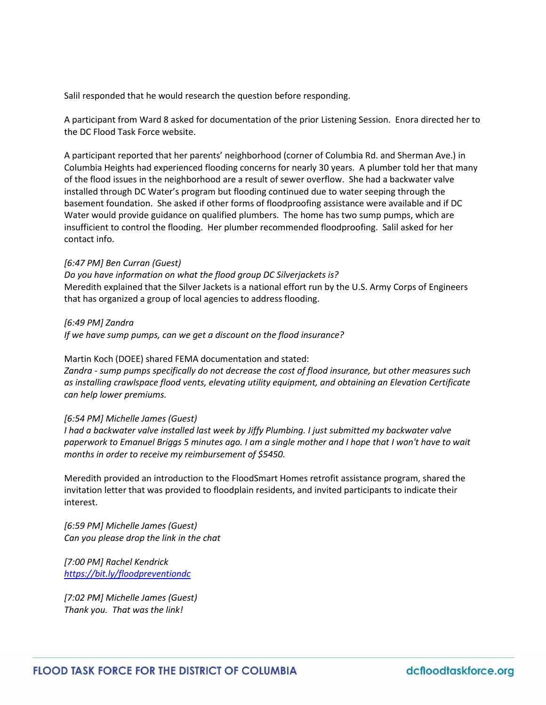Salil responded that he would research the question before responding.

A participant from Ward 8 asked for documentation of the prior Listening Session. Enora directed her to the DC Flood Task Force website.

A participant reported that her parents' neighborhood (corner of Columbia Rd. and Sherman Ave.) in Columbia Heights had experienced flooding concerns for nearly 30 years. A plumber told her that many of the flood issues in the neighborhood are a result of sewer overflow. She had a backwater valve installed through DC Water's program but flooding continued due to water seeping through the basement foundation. She asked if other forms of floodproofing assistance were available and if DC Water would provide guidance on qualified plumbers. The home has two sump pumps, which are insufficient to control the flooding. Her plumber recommended floodproofing. Salil asked for her contact info.

#### *[6:47 PM] Ben Curran (Guest)*

*Do you have information on what the flood group DC Silverjackets is?* Meredith explained that the Silver Jackets is a national effort run by the U.S. Army Corps of Engineers that has organized a group of local agencies to address flooding.

#### *[6:49 PM] Zandra*

*If we have sump pumps, can we get a discount on the flood insurance?*

#### Martin Koch (DOEE) shared FEMA documentation and stated:

*Zandra - sump pumps specifically do not decrease the cost of flood insurance, but other measures such as installing crawlspace flood vents, elevating utility equipment, and obtaining an Elevation Certificate can help lower premiums.*

#### *[6:54 PM] Michelle James (Guest)*

*I had a backwater valve installed last week by Jiffy Plumbing. I just submitted my backwater valve paperwork to Emanuel Briggs 5 minutes ago. I am a single mother and I hope that I won't have to wait months in order to receive my reimbursement of \$5450.*

Meredith provided an introduction to the FloodSmart Homes retrofit assistance program, shared the invitation letter that was provided to floodplain residents, and invited participants to indicate their interest.

*[6:59 PM] Michelle James (Guest) Can you please drop the link in the chat*

*[7:00 PM] Rachel Kendrick <https://bit.ly/floodpreventiondc>*

*[7:02 PM] Michelle James (Guest) Thank you. That was the link!*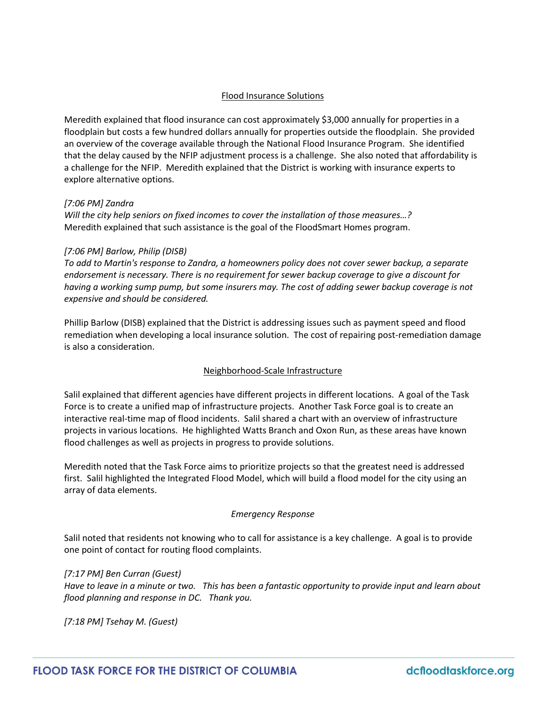## Flood Insurance Solutions

Meredith explained that flood insurance can cost approximately \$3,000 annually for properties in a floodplain but costs a few hundred dollars annually for properties outside the floodplain. She provided an overview of the coverage available through the National Flood Insurance Program. She identified that the delay caused by the NFIP adjustment process is a challenge. She also noted that affordability is a challenge for the NFIP. Meredith explained that the District is working with insurance experts to explore alternative options.

## *[7:06 PM] Zandra*

*Will the city help seniors on fixed incomes to cover the installation of those measures…?*  Meredith explained that such assistance is the goal of the FloodSmart Homes program.

## *[7:06 PM] Barlow, Philip (DISB)*

*To add to Martin's response to Zandra, a homeowners policy does not cover sewer backup, a separate endorsement is necessary. There is no requirement for sewer backup coverage to give a discount for having a working sump pump, but some insurers may. The cost of adding sewer backup coverage is not expensive and should be considered.* 

Phillip Barlow (DISB) explained that the District is addressing issues such as payment speed and flood remediation when developing a local insurance solution. The cost of repairing post-remediation damage is also a consideration.

## Neighborhood-Scale Infrastructure

Salil explained that different agencies have different projects in different locations. A goal of the Task Force is to create a unified map of infrastructure projects. Another Task Force goal is to create an interactive real-time map of flood incidents. Salil shared a chart with an overview of infrastructure projects in various locations. He highlighted Watts Branch and Oxon Run, as these areas have known flood challenges as well as projects in progress to provide solutions.

Meredith noted that the Task Force aims to prioritize projects so that the greatest need is addressed first. Salil highlighted the Integrated Flood Model, which will build a flood model for the city using an array of data elements.

## *Emergency Response*

Salil noted that residents not knowing who to call for assistance is a key challenge. A goal is to provide one point of contact for routing flood complaints.

## *[7:17 PM] Ben Curran (Guest)*

*Have to leave in a minute or two. This has been a fantastic opportunity to provide input and learn about flood planning and response in DC. Thank you.*

*[7:18 PM] Tsehay M. (Guest)*